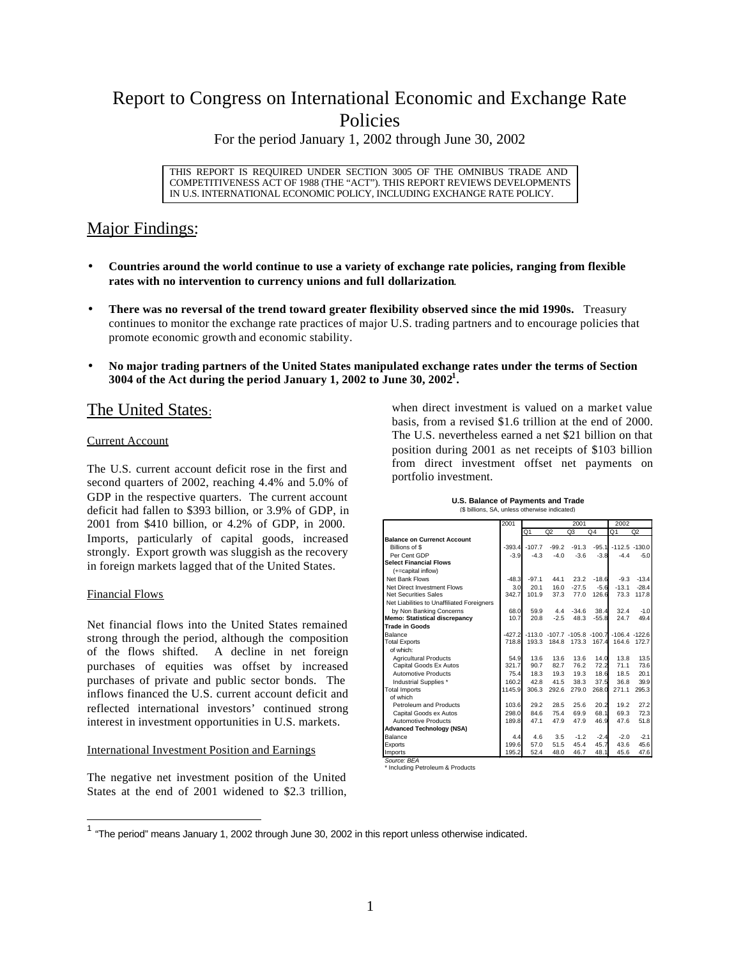# Report to Congress on International Economic and Exchange Rate Policies

For the period January 1, 2002 through June 30, 2002

THIS REPORT IS REQUIRED UNDER SECTION 3005 OF THE OMNIBUS TRADE AND COMPETITIVENESS ACT OF 1988 (THE "ACT"). THIS REPORT REVIEWS DEVELOPMENTS IN U.S. INTERNATIONAL ECONOMIC POLICY, INCLUDING EXCHANGE RATE POLICY.

## Major Findings:

- **Countries around the world continue to use a variety of exchange rate policies, ranging from flexible rates with no intervention to currency unions and full dollarization**.
- **There was no reversal of the trend toward greater flexibility observed since the mid 1990s.** Treasury continues to monitor the exchange rate practices of major U.S. trading partners and to encourage policies that promote economic growth and economic stability.
- **No major trading partners of the United States manipulated exchange rates under the terms of Section 3004 of the Act during the period January 1, 2002 to June 30, 2002<sup>1</sup> .**

### The United States:

### Current Account

The U.S. current account deficit rose in the first and second quarters of 2002, reaching 4.4% and 5.0% of GDP in the respective quarters. The current account deficit had fallen to \$393 billion, or 3.9% of GDP, in 2001 from \$410 billion, or 4.2% of GDP, in 2000. Imports, particularly of capital goods, increased strongly. Export growth was sluggish as the recovery in foreign markets lagged that of the United States.

### Financial Flows

Net financial flows into the United States remained strong through the period, although the composition of the flows shifted. A decline in net foreign purchases of equities was offset by increased purchases of private and public sector bonds. The inflows financed the U.S. current account deficit and reflected international investors' continued strong interest in investment opportunities in U.S. markets.

### International Investment Position and Earnings

The negative net investment position of the United States at the end of 2001 widened to \$2.3 trillion, when direct investment is valued on a market value basis, from a revised \$1.6 trillion at the end of 2000. The U.S. nevertheless earned a net \$21 billion on that position during 2001 as net receipts of \$103 billion from direct investment offset net payments on portfolio investment.

#### **U.S. Balance of Payments and Trade** (\$ billions, SA, unless otherwise indicated)

|                                            | 2001     | 2001     |                                     |         | 2002           |                  |         |
|--------------------------------------------|----------|----------|-------------------------------------|---------|----------------|------------------|---------|
|                                            |          | Q1       | Q2                                  | Q3      | Q <sub>4</sub> | Q <sub>1</sub>   | Q2      |
| <b>Balance on Currenct Account</b>         |          |          |                                     |         |                |                  |         |
| Billions of \$                             | $-393.4$ | $-107.7$ | $-99.2$                             | $-91.3$ | $-95.1$        | $-112.5 - 130.0$ |         |
| Per Cent GDP                               | $-3.9$   | $-4.3$   | $-4.0$                              | $-3.6$  | $-3.8$         | $-4.4$           | $-5.0$  |
| <b>Select Financial Flows</b>              |          |          |                                     |         |                |                  |         |
| (+=capital inflow)                         |          |          |                                     |         |                |                  |         |
| Net Bank Flows                             | $-48.3$  | $-97.1$  | 44.1                                | 23.2    | $-18.6$        | $-9.3$           | $-13.4$ |
| Net Direct Investment Flows                | 3.0      | 20.1     | 16.0                                | $-27.5$ | $-5.6$         | $-13.1$          | $-28.4$ |
| <b>Net Securities Sales</b>                | 342.7    | 101.9    | 37.3                                | 77.0    | 126.6          | 73.3             | 117.8   |
| Net Liabilities to Unaffiliated Foreigners |          |          |                                     |         |                |                  |         |
| by Non Banking Concerns                    | 68.0     | 59.9     | 4.4                                 | $-34.6$ | 38.4           | 32.4             | $-1.0$  |
| <b>Memo: Statistical discrepancy</b>       | 10.7     | 20.8     | $-2.5$                              | 48.3    | $-55.8$        | 24.7             | 49.4    |
| <b>Trade in Goods</b>                      |          |          |                                     |         |                |                  |         |
| Balance                                    | $-427.2$ |          | $-113.0$ $-107.7$ $-105.8$ $-100.7$ |         |                | $-106.4 - 122.6$ |         |
| <b>Total Exports</b>                       | 718.8    | 193.3    | 184.8                               | 173.3   | 167.4          | 164.6            | 172.7   |
| of which:                                  |          |          |                                     |         |                |                  |         |
| <b>Agricultural Products</b>               | 54.9     | 13.6     | 13.6                                | 13.6    | 14.0           | 13.8             | 13.5    |
| Capital Goods Ex Autos                     | 321.7    | 90.7     | 82.7                                | 76.2    | 72.2           | 71.1             | 73.6    |
| <b>Automotive Products</b>                 | 75.4     | 18.3     | 19.3                                | 19.3    | 18.6           | 18.5             | 20.1    |
| Industrial Supplies *                      | 160.2    | 42.8     | 41.5                                | 38.3    | 37.5           | 36.8             | 39.9    |
| <b>Total Imports</b>                       | 1145.9   | 306.3    | 292.6                               | 279.0   | 268.0          | 271.1            | 295.3   |
| of which                                   |          |          |                                     |         |                |                  |         |
| Petroleum and Products                     | 103.6    | 29.2     | 28.5                                | 25.6    | 20.2           | 19.2             | 27.2    |
| Capital Goods ex Autos                     | 298.0    | 84.6     | 75.4                                | 69.9    | 68.1           | 69.3             | 72.3    |
| <b>Automotive Products</b>                 | 189.8    | 47.1     | 47.9                                | 47.9    | 46.9           | 47.6             | 51.8    |
| <b>Advanced Technology (NSA)</b>           |          |          |                                     |         |                |                  |         |
| Balance                                    | 4.4      | 4.6      | 3.5                                 | $-1.2$  | $-2.4$         | $-2.0$           | $-2.1$  |
| Exports                                    | 199.6    | 57.0     | 51.5                                | 45.4    | 45.7           | 43.6             | 45.6    |
| Imports                                    | 195.2    | 52.4     | 48.0                                | 46.7    | 48.1           | 45.6             | 47.6    |

*Source: BEA* \* Including Petroleum & Products

The period" means January 1, 2002 through June 30, 2002 in this report unless otherwise indicated.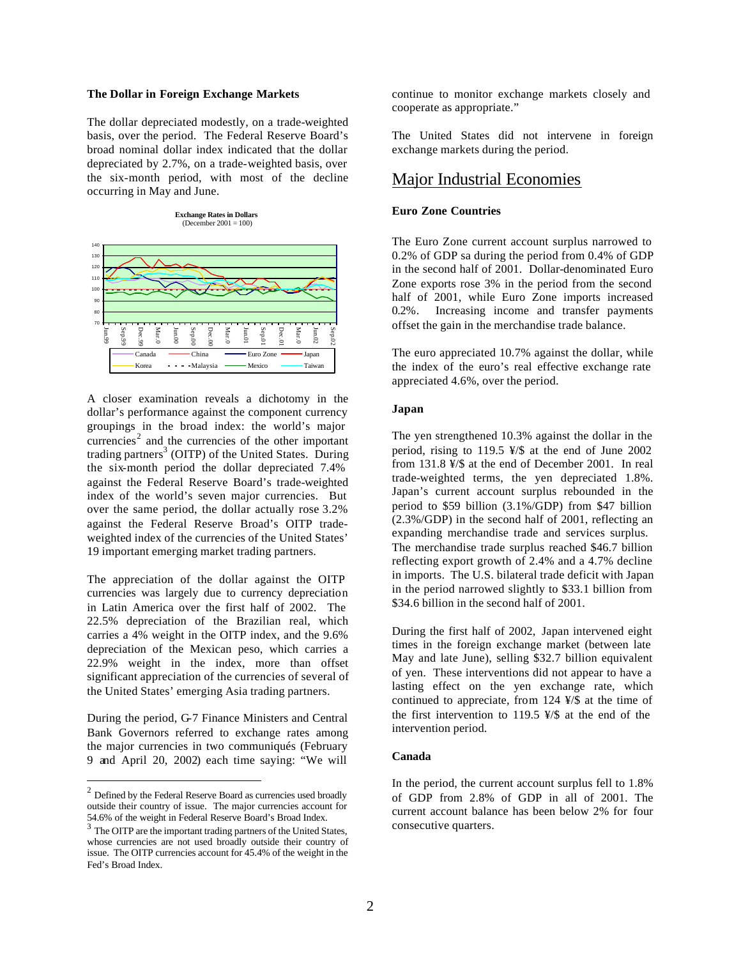#### **The Dollar in Foreign Exchange Markets**

The dollar depreciated modestly, on a trade-weighted basis, over the period. The Federal Reserve Board's broad nominal dollar index indicated that the dollar depreciated by 2.7%, on a trade-weighted basis, over the six-month period, with most of the decline occurring in May and June.



A closer examination reveals a dichotomy in the dollar's performance against the component currency groupings in the broad index: the world's major currencies<sup>2</sup> and the currencies of the other important trading partners<sup>3</sup> (OITP) of the United States. During the six-month period the dollar depreciated 7.4% against the Federal Reserve Board's trade-weighted index of the world's seven major currencies. But over the same period, the dollar actually rose 3.2% against the Federal Reserve Broad's OITP tradeweighted index of the currencies of the United States' 19 important emerging market trading partners.

The appreciation of the dollar against the OITP currencies was largely due to currency depreciation in Latin America over the first half of 2002. The 22.5% depreciation of the Brazilian real, which carries a 4% weight in the OITP index, and the 9.6% depreciation of the Mexican peso, which carries a 22.9% weight in the index, more than offset significant appreciation of the currencies of several of the United States' emerging Asia trading partners.

During the period, G-7 Finance Ministers and Central Bank Governors referred to exchange rates among the major currencies in two communiqués (February 9 and April 20, 2002) each time saying: "We will

 $\overline{a}$ 

continue to monitor exchange markets closely and cooperate as appropriate."

The United States did not intervene in foreign exchange markets during the period.

### Major Industrial Economies

### **Euro Zone Countries**

The Euro Zone current account surplus narrowed to 0.2% of GDP sa during the period from 0.4% of GDP in the second half of 2001. Dollar-denominated Euro Zone exports rose 3% in the period from the second half of 2001, while Euro Zone imports increased 0.2%. Increasing income and transfer payments offset the gain in the merchandise trade balance.

The euro appreciated 10.7% against the dollar, while the index of the euro's real effective exchange rate appreciated 4.6%, over the period.

#### **Japan**

The yen strengthened 10.3% against the dollar in the period, rising to 119.5 ¥/\$ at the end of June 2002 from 131.8 ¥/\$ at the end of December 2001. In real trade-weighted terms, the yen depreciated 1.8%. Japan's current account surplus rebounded in the period to \$59 billion (3.1%/GDP) from \$47 billion (2.3%/GDP) in the second half of 2001, reflecting an expanding merchandise trade and services surplus. The merchandise trade surplus reached \$46.7 billion reflecting export growth of 2.4% and a 4.7% decline in imports. The U.S. bilateral trade deficit with Japan in the period narrowed slightly to \$33.1 billion from \$34.6 billion in the second half of 2001.

During the first half of 2002, Japan intervened eight times in the foreign exchange market (between late May and late June), selling \$32.7 billion equivalent of yen. These interventions did not appear to have a lasting effect on the yen exchange rate, which continued to appreciate, from 124 ¥/\$ at the time of the first intervention to 119.5  $\frac{1}{2}$  at the end of the intervention period.

### **Canada**

In the period, the current account surplus fell to 1.8% of GDP from 2.8% of GDP in all of 2001. The current account balance has been below 2% for four consecutive quarters.

 $2$  Defined by the Federal Reserve Board as currencies used broadly outside their country of issue. The major currencies account for 54.6% of the weight in Federal Reserve Board's Broad Index.

<sup>&</sup>lt;sup>3</sup> The OITP are the important trading partners of the United States, whose currencies are not used broadly outside their country of issue. The OITP currencies account for 45.4% of the weight in the Fed's Broad Index.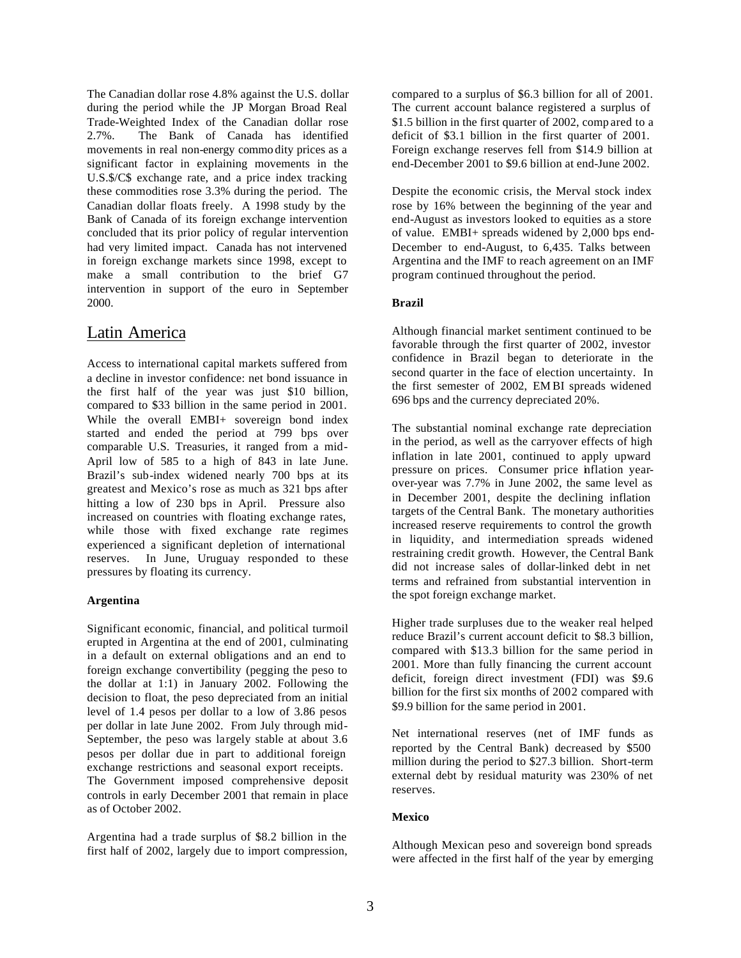The Canadian dollar rose 4.8% against the U.S. dollar during the period while the JP Morgan Broad Real Trade-Weighted Index of the Canadian dollar rose 2.7%. The Bank of Canada has identified movements in real non-energy commo dity prices as a significant factor in explaining movements in the U.S.\$/C\$ exchange rate, and a price index tracking these commodities rose 3.3% during the period. The Canadian dollar floats freely. A 1998 study by the Bank of Canada of its foreign exchange intervention concluded that its prior policy of regular intervention had very limited impact. Canada has not intervened in foreign exchange markets since 1998, except to make a small contribution to the brief G7 intervention in support of the euro in September 2000.

### Latin America

Access to international capital markets suffered from a decline in investor confidence: net bond issuance in the first half of the year was just \$10 billion, compared to \$33 billion in the same period in 2001. While the overall EMBI+ sovereign bond index started and ended the period at 799 bps over comparable U.S. Treasuries, it ranged from a mid-April low of 585 to a high of 843 in late June. Brazil's sub-index widened nearly 700 bps at its greatest and Mexico's rose as much as 321 bps after hitting a low of 230 bps in April. Pressure also increased on countries with floating exchange rates, while those with fixed exchange rate regimes experienced a significant depletion of international reserves. In June, Uruguay responded to these pressures by floating its currency.

### **Argentina**

Significant economic, financial, and political turmoil erupted in Argentina at the end of 2001, culminating in a default on external obligations and an end to foreign exchange convertibility (pegging the peso to the dollar at 1:1) in January 2002. Following the decision to float, the peso depreciated from an initial level of 1.4 pesos per dollar to a low of 3.86 pesos per dollar in late June 2002. From July through mid-September, the peso was largely stable at about 3.6 pesos per dollar due in part to additional foreign exchange restrictions and seasonal export receipts. The Government imposed comprehensive deposit controls in early December 2001 that remain in place as of October 2002.

Argentina had a trade surplus of \$8.2 billion in the first half of 2002, largely due to import compression, compared to a surplus of \$6.3 billion for all of 2001. The current account balance registered a surplus of \$1.5 billion in the first quarter of 2002, comp ared to a deficit of \$3.1 billion in the first quarter of 2001. Foreign exchange reserves fell from \$14.9 billion at end-December 2001 to \$9.6 billion at end-June 2002.

Despite the economic crisis, the Merval stock index rose by 16% between the beginning of the year and end-August as investors looked to equities as a store of value. EMBI+ spreads widened by 2,000 bps end-December to end-August, to 6,435. Talks between Argentina and the IMF to reach agreement on an IMF program continued throughout the period.

### **Brazil**

Although financial market sentiment continued to be favorable through the first quarter of 2002, investor confidence in Brazil began to deteriorate in the second quarter in the face of election uncertainty. In the first semester of 2002, EM BI spreads widened 696 bps and the currency depreciated 20%.

The substantial nominal exchange rate depreciation in the period, as well as the carryover effects of high inflation in late 2001, continued to apply upward pressure on prices. Consumer price inflation yearover-year was 7.7% in June 2002, the same level as in December 2001, despite the declining inflation targets of the Central Bank. The monetary authorities increased reserve requirements to control the growth in liquidity, and intermediation spreads widened restraining credit growth. However, the Central Bank did not increase sales of dollar-linked debt in net terms and refrained from substantial intervention in the spot foreign exchange market.

Higher trade surpluses due to the weaker real helped reduce Brazil's current account deficit to \$8.3 billion, compared with \$13.3 billion for the same period in 2001. More than fully financing the current account deficit, foreign direct investment (FDI) was \$9.6 billion for the first six months of 2002 compared with \$9.9 billion for the same period in 2001.

Net international reserves (net of IMF funds as reported by the Central Bank) decreased by \$500 million during the period to \$27.3 billion. Short-term external debt by residual maturity was 230% of net reserves.

### **Mexico**

Although Mexican peso and sovereign bond spreads were affected in the first half of the year by emerging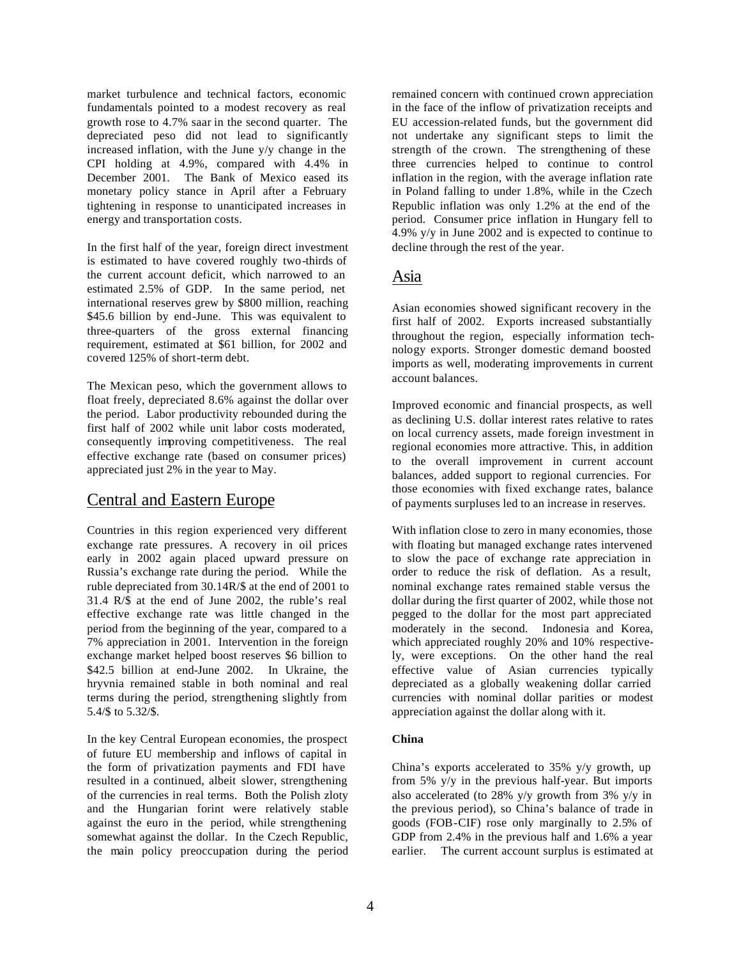market turbulence and technical factors, economic fundamentals pointed to a modest recovery as real growth rose to 4.7% saar in the second quarter. The depreciated peso did not lead to significantly increased inflation, with the June y/y change in the CPI holding at 4.9%, compared with 4.4% in December 2001. The Bank of Mexico eased its monetary policy stance in April after a February tightening in response to unanticipated increases in energy and transportation costs.

In the first half of the year, foreign direct investment is estimated to have covered roughly two-thirds of the current account deficit, which narrowed to an estimated 2.5% of GDP. In the same period, net international reserves grew by \$800 million, reaching \$45.6 billion by end-June. This was equivalent to three-quarters of the gross external financing requirement, estimated at \$61 billion, for 2002 and covered 125% of short-term debt.

The Mexican peso, which the government allows to float freely, depreciated 8.6% against the dollar over the period. Labor productivity rebounded during the first half of 2002 while unit labor costs moderated, consequently improving competitiveness. The real effective exchange rate (based on consumer prices) appreciated just 2% in the year to May.

### Central and Eastern Europe

Countries in this region experienced very different exchange rate pressures. A recovery in oil prices early in 2002 again placed upward pressure on Russia's exchange rate during the period. While the ruble depreciated from 30.14R/\$ at the end of 2001 to 31.4 R/\$ at the end of June 2002, the ruble's real effective exchange rate was little changed in the period from the beginning of the year, compared to a 7% appreciation in 2001. Intervention in the foreign exchange market helped boost reserves \$6 billion to \$42.5 billion at end-June 2002. In Ukraine, the hryvnia remained stable in both nominal and real terms during the period, strengthening slightly from 5.4/\$ to 5.32/\$.

In the key Central European economies, the prospect of future EU membership and inflows of capital in the form of privatization payments and FDI have resulted in a continued, albeit slower, strengthening of the currencies in real terms. Both the Polish zloty and the Hungarian forint were relatively stable against the euro in the period, while strengthening somewhat against the dollar. In the Czech Republic, the main policy preoccupation during the period remained concern with continued crown appreciation in the face of the inflow of privatization receipts and EU accession-related funds, but the government did not undertake any significant steps to limit the strength of the crown. The strengthening of these three currencies helped to continue to control inflation in the region, with the average inflation rate in Poland falling to under 1.8%, while in the Czech Republic inflation was only 1.2% at the end of the period. Consumer price inflation in Hungary fell to 4.9% y/y in June 2002 and is expected to continue to decline through the rest of the year.

### Asia

Asian economies showed significant recovery in the first half of 2002. Exports increased substantially throughout the region, especially information technology exports. Stronger domestic demand boosted imports as well, moderating improvements in current account balances.

Improved economic and financial prospects, as well as declining U.S. dollar interest rates relative to rates on local currency assets, made foreign investment in regional economies more attractive. This, in addition to the overall improvement in current account balances, added support to regional currencies. For those economies with fixed exchange rates, balance of payments surpluses led to an increase in reserves.

With inflation close to zero in many economies, those with floating but managed exchange rates intervened to slow the pace of exchange rate appreciation in order to reduce the risk of deflation. As a result, nominal exchange rates remained stable versus the dollar during the first quarter of 2002, while those not pegged to the dollar for the most part appreciated moderately in the second. Indonesia and Korea, which appreciated roughly 20% and 10% respectively, were exceptions. On the other hand the real effective value of Asian currencies typically depreciated as a globally weakening dollar carried currencies with nominal dollar parities or modest appreciation against the dollar along with it.

### **China**

China's exports accelerated to 35% y/y growth, up from 5%  $y/y$  in the previous half-year. But imports also accelerated (to 28% y/y growth from 3% y/y in the previous period), so China's balance of trade in goods (FOB-CIF) rose only marginally to 2.5% of GDP from 2.4% in the previous half and 1.6% a year earlier. The current account surplus is estimated at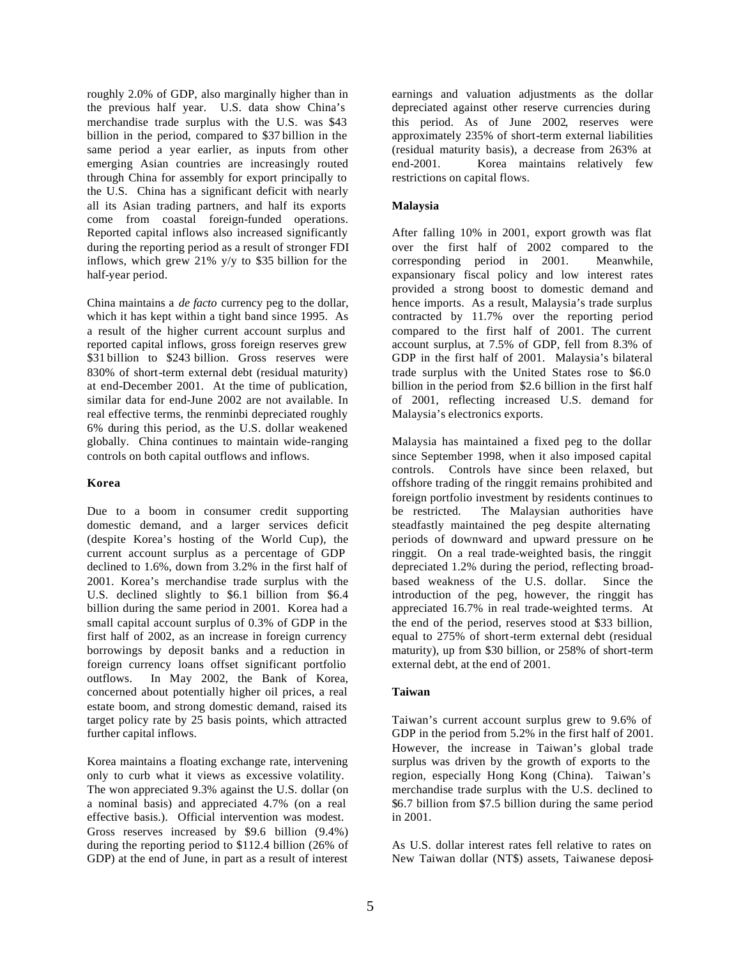roughly 2.0% of GDP, also marginally higher than in the previous half year. U.S. data show China's merchandise trade surplus with the U.S. was \$43 billion in the period, compared to \$37 billion in the same period a year earlier, as inputs from other emerging Asian countries are increasingly routed through China for assembly for export principally to the U.S. China has a significant deficit with nearly all its Asian trading partners, and half its exports come from coastal foreign-funded operations. Reported capital inflows also increased significantly during the reporting period as a result of stronger FDI inflows, which grew 21% y/y to \$35 billion for the half-year period.

China maintains a *de facto* currency peg to the dollar, which it has kept within a tight band since 1995. As a result of the higher current account surplus and reported capital inflows, gross foreign reserves grew \$31 billion to \$243 billion. Gross reserves were 830% of short-term external debt (residual maturity) at end-December 2001. At the time of publication, similar data for end-June 2002 are not available. In real effective terms, the renminbi depreciated roughly 6% during this period, as the U.S. dollar weakened globally. China continues to maintain wide-ranging controls on both capital outflows and inflows.

### **Korea**

Due to a boom in consumer credit supporting domestic demand, and a larger services deficit (despite Korea's hosting of the World Cup), the current account surplus as a percentage of GDP declined to 1.6%, down from 3.2% in the first half of 2001. Korea's merchandise trade surplus with the U.S. declined slightly to \$6.1 billion from \$6.4 billion during the same period in 2001. Korea had a small capital account surplus of 0.3% of GDP in the first half of 2002, as an increase in foreign currency borrowings by deposit banks and a reduction in foreign currency loans offset significant portfolio outflows. In May 2002, the Bank of Korea, concerned about potentially higher oil prices, a real estate boom, and strong domestic demand, raised its target policy rate by 25 basis points, which attracted further capital inflows.

Korea maintains a floating exchange rate, intervening only to curb what it views as excessive volatility. The won appreciated 9.3% against the U.S. dollar (on a nominal basis) and appreciated 4.7% (on a real effective basis.). Official intervention was modest. Gross reserves increased by \$9.6 billion (9.4%) during the reporting period to \$112.4 billion (26% of GDP) at the end of June, in part as a result of interest earnings and valuation adjustments as the dollar depreciated against other reserve currencies during this period. As of June 2002, reserves were approximately 235% of short-term external liabilities (residual maturity basis), a decrease from 263% at end-2001. Korea maintains relatively few restrictions on capital flows.

### **Malaysia**

After falling 10% in 2001, export growth was flat over the first half of 2002 compared to the corresponding period in 2001. Meanwhile, expansionary fiscal policy and low interest rates provided a strong boost to domestic demand and hence imports. As a result, Malaysia's trade surplus contracted by 11.7% over the reporting period compared to the first half of 2001. The current account surplus, at 7.5% of GDP, fell from 8.3% of GDP in the first half of 2001. Malaysia's bilateral trade surplus with the United States rose to \$6.0 billion in the period from \$2.6 billion in the first half of 2001, reflecting increased U.S. demand for Malaysia's electronics exports.

Malaysia has maintained a fixed peg to the dollar since September 1998, when it also imposed capital controls. Controls have since been relaxed, but offshore trading of the ringgit remains prohibited and foreign portfolio investment by residents continues to be restricted. The Malaysian authorities have steadfastly maintained the peg despite alternating periods of downward and upward pressure on the ringgit. On a real trade-weighted basis, the ringgit depreciated 1.2% during the period, reflecting broadbased weakness of the U.S. dollar. Since the introduction of the peg, however, the ringgit has appreciated 16.7% in real trade-weighted terms. At the end of the period, reserves stood at \$33 billion, equal to 275% of short-term external debt (residual maturity), up from \$30 billion, or 258% of short-term external debt, at the end of 2001.

### **Taiwan**

Taiwan's current account surplus grew to 9.6% of GDP in the period from 5.2% in the first half of 2001. However, the increase in Taiwan's global trade surplus was driven by the growth of exports to the region, especially Hong Kong (China). Taiwan's merchandise trade surplus with the U.S. declined to \$6.7 billion from \$7.5 billion during the same period in 2001.

As U.S. dollar interest rates fell relative to rates on New Taiwan dollar (NT\$) assets, Taiwanese deposi